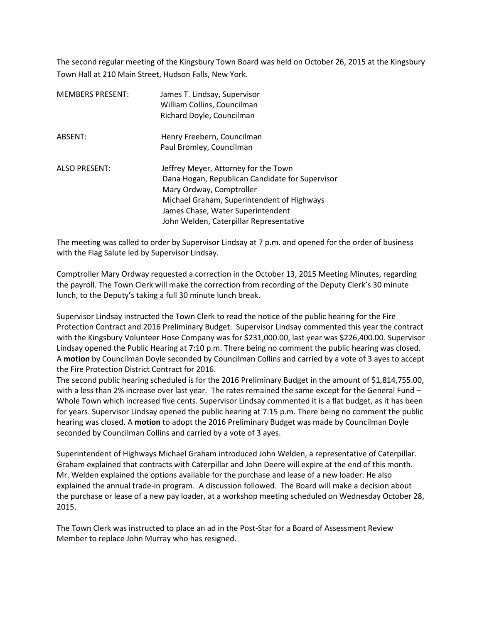The second regular meeting of the Kingsbury Town Board was held on October 26, 2015 at the Kingsbury Town Hall at 210 Main Street, Hudson Falls, New York.

| <b>MEMBERS PRESENT:</b> | James T. Lindsay, Supervisor<br>William Collins, Councilman<br>Richard Doyle, Councilman                                                                                                                                                          |
|-------------------------|---------------------------------------------------------------------------------------------------------------------------------------------------------------------------------------------------------------------------------------------------|
| ABSENT:                 | Henry Freebern, Councilman<br>Paul Bromley, Councilman                                                                                                                                                                                            |
| <b>ALSO PRESENT:</b>    | Jeffrey Meyer, Attorney for the Town<br>Dana Hogan, Republican Candidate for Supervisor<br>Mary Ordway, Comptroller<br>Michael Graham, Superintendent of Highways<br>James Chase, Water Superintendent<br>John Welden, Caterpillar Representative |

The meeting was called to order by Supervisor Lindsay at 7 p.m. and opened for the order of business with the Flag Salute led by Supervisor Lindsay.

Comptroller Mary Ordway requested a correction in the October 13, 2015 Meeting Minutes, regarding the payroll. The Town Clerk will make the correction from recording of the Deputy Clerk's 30 minute lunch, to the Deputy's taking a full 30 minute lunch break.

Supervisor Lindsay instructed the Town Clerk to read the notice of the public hearing for the Fire Protection Contract and 2016 Preliminary Budget. Supervisor Lindsay commented this year the contract with the Kingsbury Volunteer Hose Company was for \$231,000.00, last year was \$226,400.00. Supervisor Lindsay opened the Public Hearing at 7:10 p.m. There being no comment the public hearing was closed. A **motion** by Councilman Doyle seconded by Councilman Collins and carried by a vote of 3 ayes to accept the Fire Protection District Contract for 2016.

The second public hearing scheduled is for the 2016 Preliminary Budget in the amount of \$1,814,755.00, with a less than 2% increase over last year. The rates remained the same except for the General Fund – Whole Town which increased five cents. Supervisor Lindsay commented it is a flat budget, as it has been for years. Supervisor Lindsay opened the public hearing at 7:15 p.m. There being no comment the public hearing was closed. A **motion** to adopt the 2016 Preliminary Budget was made by Councilman Doyle seconded by Councilman Collins and carried by a vote of 3 ayes.

Superintendent of Highways Michael Graham introduced John Welden, a representative of Caterpillar. Graham explained that contracts with Caterpillar and John Deere will expire at the end of this month. Mr. Welden explained the options available for the purchase and lease of a new loader. He also explained the annual trade-in program. A discussion followed. The Board will make a decision about the purchase or lease of a new pay loader, at a workshop meeting scheduled on Wednesday October 28, 2015.

The Town Clerk was instructed to place an ad in the Post-Star for a Board of Assessment Review Member to replace John Murray who has resigned.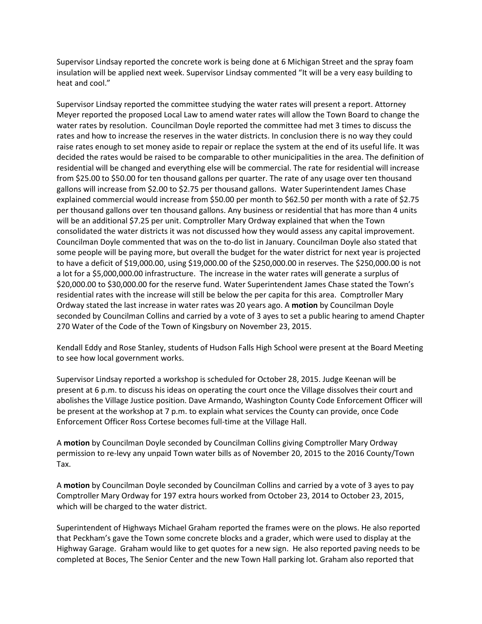Supervisor Lindsay reported the concrete work is being done at 6 Michigan Street and the spray foam insulation will be applied next week. Supervisor Lindsay commented "It will be a very easy building to heat and cool."

Supervisor Lindsay reported the committee studying the water rates will present a report. Attorney Meyer reported the proposed Local Law to amend water rates will allow the Town Board to change the water rates by resolution. Councilman Doyle reported the committee had met 3 times to discuss the rates and how to increase the reserves in the water districts. In conclusion there is no way they could raise rates enough to set money aside to repair or replace the system at the end of its useful life. It was decided the rates would be raised to be comparable to other municipalities in the area. The definition of residential will be changed and everything else will be commercial. The rate for residential will increase from \$25.00 to \$50.00 for ten thousand gallons per quarter. The rate of any usage over ten thousand gallons will increase from \$2.00 to \$2.75 per thousand gallons. Water Superintendent James Chase explained commercial would increase from \$50.00 per month to \$62.50 per month with a rate of \$2.75 per thousand gallons over ten thousand gallons. Any business or residential that has more than 4 units will be an additional \$7.25 per unit. Comptroller Mary Ordway explained that when the Town consolidated the water districts it was not discussed how they would assess any capital improvement. Councilman Doyle commented that was on the to-do list in January. Councilman Doyle also stated that some people will be paying more, but overall the budget for the water district for next year is projected to have a deficit of \$19,000.00, using \$19,000.00 of the \$250,000.00 in reserves. The \$250,000.00 is not a lot for a \$5,000,000.00 infrastructure. The increase in the water rates will generate a surplus of \$20,000.00 to \$30,000.00 for the reserve fund. Water Superintendent James Chase stated the Town's residential rates with the increase will still be below the per capita for this area. Comptroller Mary Ordway stated the last increase in water rates was 20 years ago. A **motion** by Councilman Doyle seconded by Councilman Collins and carried by a vote of 3 ayes to set a public hearing to amend Chapter 270 Water of the Code of the Town of Kingsbury on November 23, 2015.

Kendall Eddy and Rose Stanley, students of Hudson Falls High School were present at the Board Meeting to see how local government works.

Supervisor Lindsay reported a workshop is scheduled for October 28, 2015. Judge Keenan will be present at 6 p.m. to discuss his ideas on operating the court once the Village dissolves their court and abolishes the Village Justice position. Dave Armando, Washington County Code Enforcement Officer will be present at the workshop at 7 p.m. to explain what services the County can provide, once Code Enforcement Officer Ross Cortese becomes full-time at the Village Hall.

A **motion** by Councilman Doyle seconded by Councilman Collins giving Comptroller Mary Ordway permission to re-levy any unpaid Town water bills as of November 20, 2015 to the 2016 County/Town Tax.

A **motion** by Councilman Doyle seconded by Councilman Collins and carried by a vote of 3 ayes to pay Comptroller Mary Ordway for 197 extra hours worked from October 23, 2014 to October 23, 2015, which will be charged to the water district.

Superintendent of Highways Michael Graham reported the frames were on the plows. He also reported that Peckham's gave the Town some concrete blocks and a grader, which were used to display at the Highway Garage. Graham would like to get quotes for a new sign. He also reported paving needs to be completed at Boces, The Senior Center and the new Town Hall parking lot. Graham also reported that